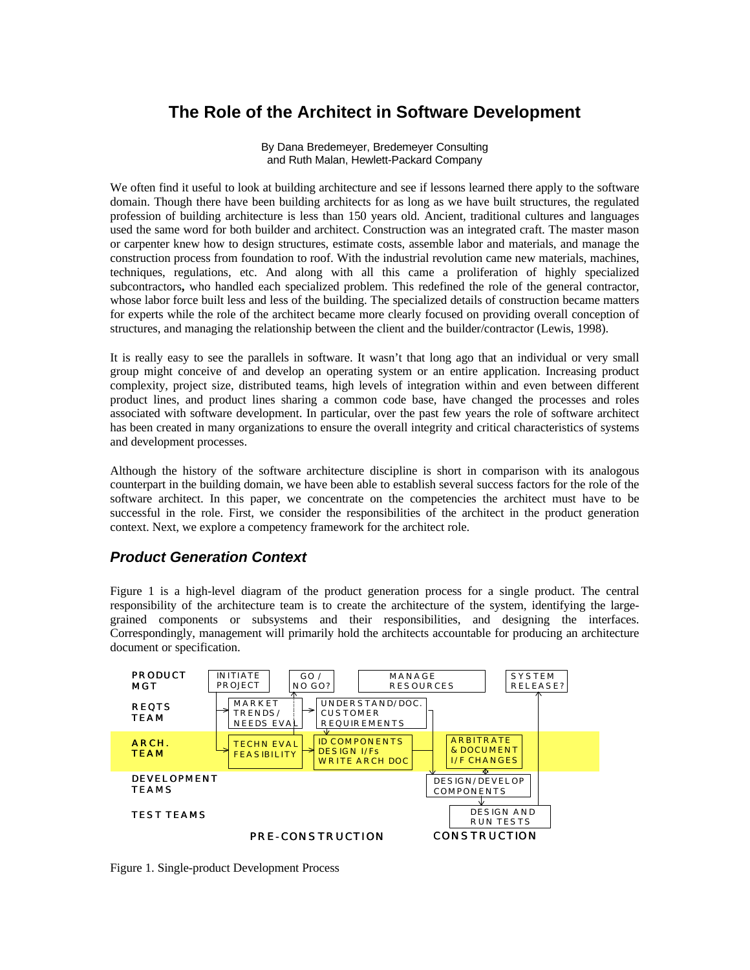# **The Role of the Architect in Software Development**

By Dana Bredemeyer, Bredemeyer Consulting and Ruth Malan, Hewlett-Packard Company

We often find it useful to look at building architecture and see if lessons learned there apply to the software domain. Though there have been building architects for as long as we have built structures, the regulated profession of building architecture is less than 150 years old. Ancient, traditional cultures and languages used the same word for both builder and architect. Construction was an integrated craft. The master mason or carpenter knew how to design structures, estimate costs, assemble labor and materials, and manage the construction process from foundation to roof. With the industrial revolution came new materials, machines, techniques, regulations, etc. And along with all this came a proliferation of highly specialized subcontractors**,** who handled each specialized problem. This redefined the role of the general contractor, whose labor force built less and less of the building. The specialized details of construction became matters for experts while the role of the architect became more clearly focused on providing overall conception of structures, and managing the relationship between the client and the builder/contractor (Lewis, 1998).

It is really easy to see the parallels in software. It wasn't that long ago that an individual or very small group might conceive of and develop an operating system or an entire application. Increasing product complexity, project size, distributed teams, high levels of integration within and even between different product lines, and product lines sharing a common code base, have changed the processes and roles associated with software development. In particular, over the past few years the role of software architect has been created in many organizations to ensure the overall integrity and critical characteristics of systems and development processes.

Although the history of the software architecture discipline is short in comparison with its analogous counterpart in the building domain, we have been able to establish several success factors for the role of the software architect. In this paper, we concentrate on the competencies the architect must have to be successful in the role. First, we consider the responsibilities of the architect in the product generation context. Next, we explore a competency framework for the architect role.

## *Product Generation Context*

Figure 1 is a high-level diagram of the product generation process for a single product. The central responsibility of the architecture team is to create the architecture of the system, identifying the largegrained components or subsystems and their responsibilities, and designing the interfaces. Correspondingly, management will primarily hold the architects accountable for producing an architecture document or specification.



Figure 1. Single-product Development Process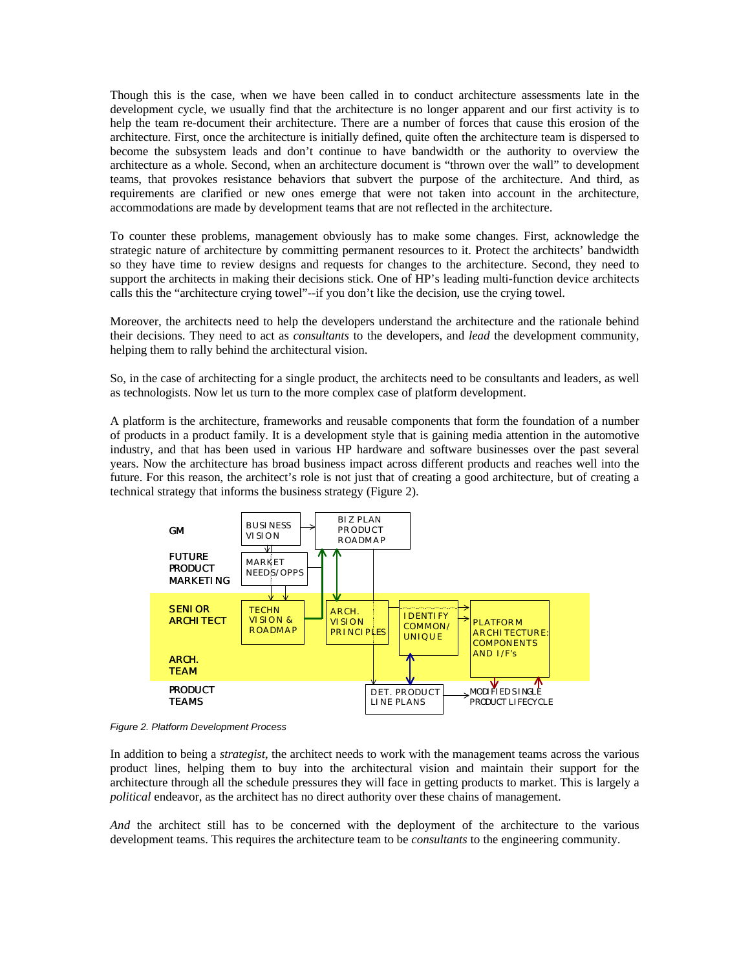Though this is the case, when we have been called in to conduct architecture assessments late in the development cycle, we usually find that the architecture is no longer apparent and our first activity is to help the team re-document their architecture. There are a number of forces that cause this erosion of the architecture. First, once the architecture is initially defined, quite often the architecture team is dispersed to become the subsystem leads and don't continue to have bandwidth or the authority to overview the architecture as a whole. Second, when an architecture document is "thrown over the wall" to development teams, that provokes resistance behaviors that subvert the purpose of the architecture. And third, as requirements are clarified or new ones emerge that were not taken into account in the architecture, accommodations are made by development teams that are not reflected in the architecture.

To counter these problems, management obviously has to make some changes. First, acknowledge the strategic nature of architecture by committing permanent resources to it. Protect the architects' bandwidth so they have time to review designs and requests for changes to the architecture. Second, they need to support the architects in making their decisions stick. One of HP's leading multi-function device architects calls this the "architecture crying towel"--if you don't like the decision, use the crying towel.

Moreover, the architects need to help the developers understand the architecture and the rationale behind their decisions. They need to act as *consultants* to the developers, and *lead* the development community, helping them to rally behind the architectural vision.

So, in the case of architecting for a single product, the architects need to be consultants and leaders, as well as technologists. Now let us turn to the more complex case of platform development.

A platform is the architecture, frameworks and reusable components that form the foundation of a number of products in a product family. It is a development style that is gaining media attention in the automotive industry, and that has been used in various HP hardware and software businesses over the past several years. Now the architecture has broad business impact across different products and reaches well into the future. For this reason, the architect's role is not just that of creating a good architecture, but of creating a technical strategy that informs the business strategy (Figure 2).



*Figure 2. Platform Development Process*

In addition to being a *strategist*, the architect needs to work with the management teams across the various product lines, helping them to buy into the architectural vision and maintain their support for the architecture through all the schedule pressures they will face in getting products to market. This is largely a *political* endeavor, as the architect has no direct authority over these chains of management.

*And* the architect still has to be concerned with the deployment of the architecture to the various development teams. This requires the architecture team to be *consultants* to the engineering community.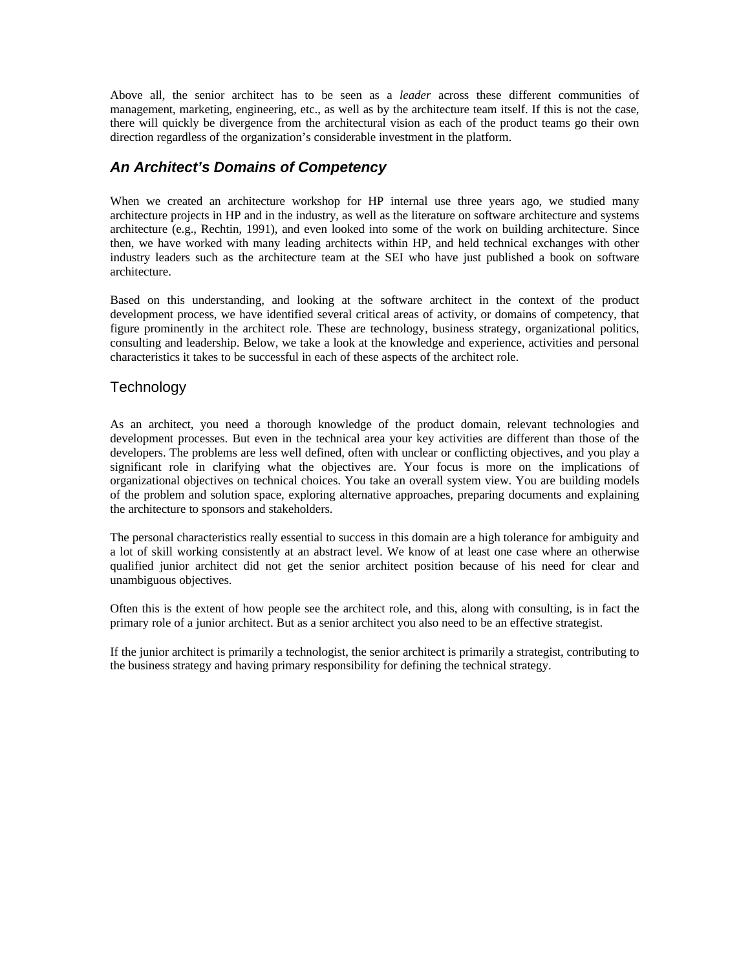Above all, the senior architect has to be seen as a *leader* across these different communities of management, marketing, engineering, etc., as well as by the architecture team itself. If this is not the case, there will quickly be divergence from the architectural vision as each of the product teams go their own direction regardless of the organization's considerable investment in the platform.

## *An Architect's Domains of Competency*

When we created an architecture workshop for HP internal use three years ago, we studied many architecture projects in HP and in the industry, as well as the literature on software architecture and systems architecture (e.g., Rechtin, 1991), and even looked into some of the work on building architecture. Since then, we have worked with many leading architects within HP, and held technical exchanges with other industry leaders such as the architecture team at the SEI who have just published a book on software architecture.

Based on this understanding, and looking at the software architect in the context of the product development process, we have identified several critical areas of activity, or domains of competency, that figure prominently in the architect role. These are technology, business strategy, organizational politics, consulting and leadership. Below, we take a look at the knowledge and experience, activities and personal characteristics it takes to be successful in each of these aspects of the architect role.

#### **Technology**

As an architect, you need a thorough knowledge of the product domain, relevant technologies and development processes. But even in the technical area your key activities are different than those of the developers. The problems are less well defined, often with unclear or conflicting objectives, and you play a significant role in clarifying what the objectives are. Your focus is more on the implications of organizational objectives on technical choices. You take an overall system view. You are building models of the problem and solution space, exploring alternative approaches, preparing documents and explaining the architecture to sponsors and stakeholders.

The personal characteristics really essential to success in this domain are a high tolerance for ambiguity and a lot of skill working consistently at an abstract level. We know of at least one case where an otherwise qualified junior architect did not get the senior architect position because of his need for clear and unambiguous objectives.

Often this is the extent of how people see the architect role, and this, along with consulting, is in fact the primary role of a junior architect. But as a senior architect you also need to be an effective strategist.

If the junior architect is primarily a technologist, the senior architect is primarily a strategist, contributing to the business strategy and having primary responsibility for defining the technical strategy.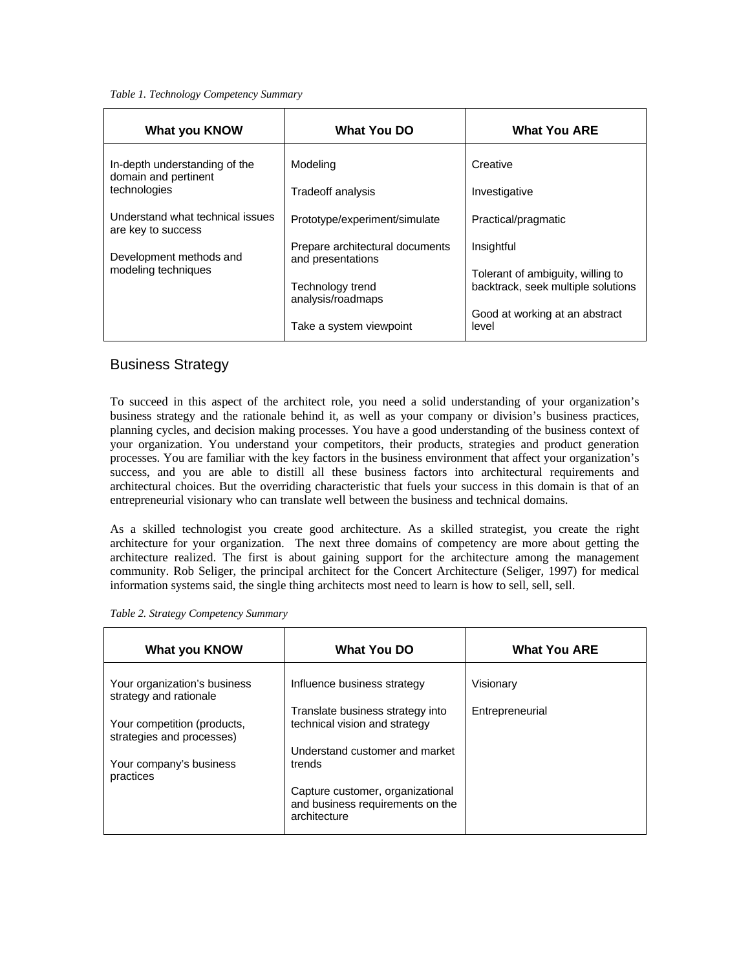#### *Table 1. Technology Competency Summary*

| What you KNOW                                                                                            | What You DO                                                                                                                    | <b>What You ARE</b>                                                                                                                            |  |
|----------------------------------------------------------------------------------------------------------|--------------------------------------------------------------------------------------------------------------------------------|------------------------------------------------------------------------------------------------------------------------------------------------|--|
| In-depth understanding of the<br>domain and pertinent<br>technologies                                    | Modeling<br>Tradeoff analysis                                                                                                  | Creative<br>Investigative                                                                                                                      |  |
| Understand what technical issues<br>are key to success<br>Development methods and<br>modeling techniques | Prototype/experiment/simulate<br>Prepare architectural documents<br>and presentations<br>Technology trend<br>analysis/roadmaps | Practical/pragmatic<br>Insightful<br>Tolerant of ambiguity, willing to<br>backtrack, seek multiple solutions<br>Good at working at an abstract |  |
|                                                                                                          | Take a system viewpoint                                                                                                        | level                                                                                                                                          |  |

#### Business Strategy

To succeed in this aspect of the architect role, you need a solid understanding of your organization's business strategy and the rationale behind it, as well as your company or division's business practices, planning cycles, and decision making processes. You have a good understanding of the business context of your organization. You understand your competitors, their products, strategies and product generation processes. You are familiar with the key factors in the business environment that affect your organization's success, and you are able to distill all these business factors into architectural requirements and architectural choices. But the overriding characteristic that fuels your success in this domain is that of an entrepreneurial visionary who can translate well between the business and technical domains.

As a skilled technologist you create good architecture. As a skilled strategist, you create the right architecture for your organization. The next three domains of competency are more about getting the architecture realized. The first is about gaining support for the architecture among the management community. Rob Seliger, the principal architect for the Concert Architecture (Seliger, 1997) for medical information systems said, the single thing architects most need to learn is how to sell, sell, sell.

|  |  | Table 2. Strategy Competency Summary |  |
|--|--|--------------------------------------|--|
|--|--|--------------------------------------|--|

| What you KNOW                                            | <b>What You DO</b>                                                                   | <b>What You ARE</b> |  |
|----------------------------------------------------------|--------------------------------------------------------------------------------------|---------------------|--|
| Your organization's business<br>strategy and rationale   | Influence business strategy                                                          | Visionary           |  |
| Your competition (products,<br>strategies and processes) | Translate business strategy into<br>technical vision and strategy                    | Entrepreneurial     |  |
| Your company's business<br>practices                     | Understand customer and market<br>trends                                             |                     |  |
|                                                          | Capture customer, organizational<br>and business requirements on the<br>architecture |                     |  |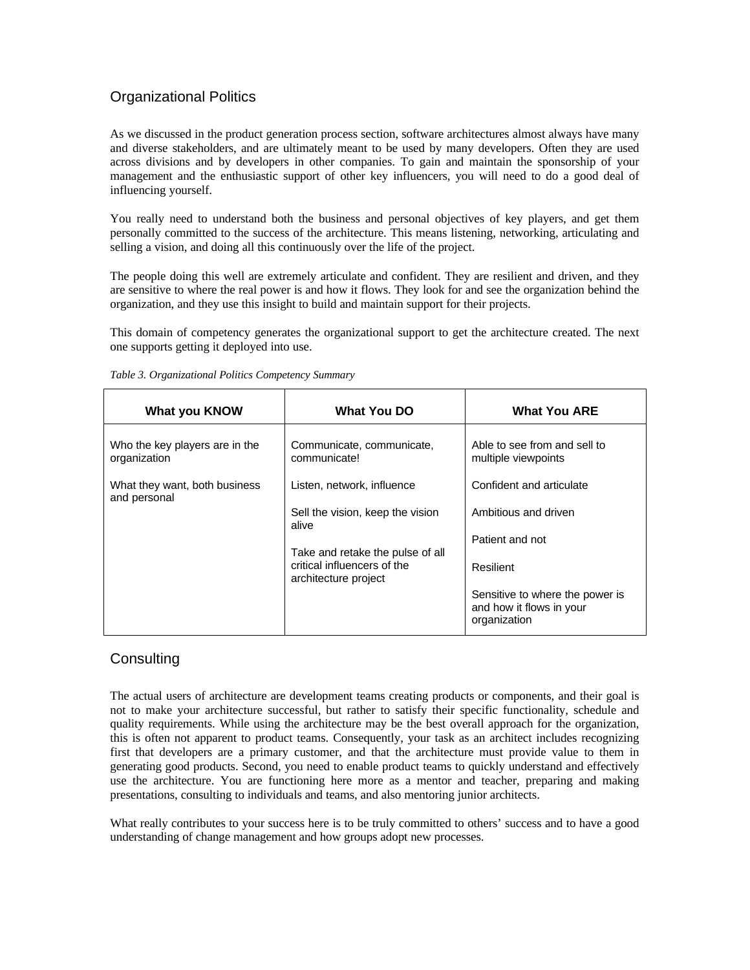## Organizational Politics

As we discussed in the product generation process section, software architectures almost always have many and diverse stakeholders, and are ultimately meant to be used by many developers. Often they are used across divisions and by developers in other companies. To gain and maintain the sponsorship of your management and the enthusiastic support of other key influencers, you will need to do a good deal of influencing yourself.

You really need to understand both the business and personal objectives of key players, and get them personally committed to the success of the architecture. This means listening, networking, articulating and selling a vision, and doing all this continuously over the life of the project.

The people doing this well are extremely articulate and confident. They are resilient and driven, and they are sensitive to where the real power is and how it flows. They look for and see the organization behind the organization, and they use this insight to build and maintain support for their projects.

This domain of competency generates the organizational support to get the architecture created. The next one supports getting it deployed into use.

| What you KNOW                                  | What You DO                                                                             | <b>What You ARE</b>                                                         |
|------------------------------------------------|-----------------------------------------------------------------------------------------|-----------------------------------------------------------------------------|
| Who the key players are in the<br>organization | Communicate, communicate,<br>communicate!                                               | Able to see from and sell to<br>multiple viewpoints                         |
| What they want, both business<br>and personal  | Listen, network, influence                                                              | Confident and articulate                                                    |
|                                                | Sell the vision, keep the vision<br>alive                                               | Ambitious and driven                                                        |
|                                                |                                                                                         | Patient and not                                                             |
|                                                | Take and retake the pulse of all<br>critical influencers of the<br>architecture project | Resilient                                                                   |
|                                                |                                                                                         | Sensitive to where the power is<br>and how it flows in your<br>organization |

*Table 3. Organizational Politics Competency Summary*

## **Consulting**

The actual users of architecture are development teams creating products or components, and their goal is not to make your architecture successful, but rather to satisfy their specific functionality, schedule and quality requirements. While using the architecture may be the best overall approach for the organization, this is often not apparent to product teams. Consequently, your task as an architect includes recognizing first that developers are a primary customer, and that the architecture must provide value to them in generating good products. Second, you need to enable product teams to quickly understand and effectively use the architecture. You are functioning here more as a mentor and teacher, preparing and making presentations, consulting to individuals and teams, and also mentoring junior architects.

What really contributes to your success here is to be truly committed to others' success and to have a good understanding of change management and how groups adopt new processes.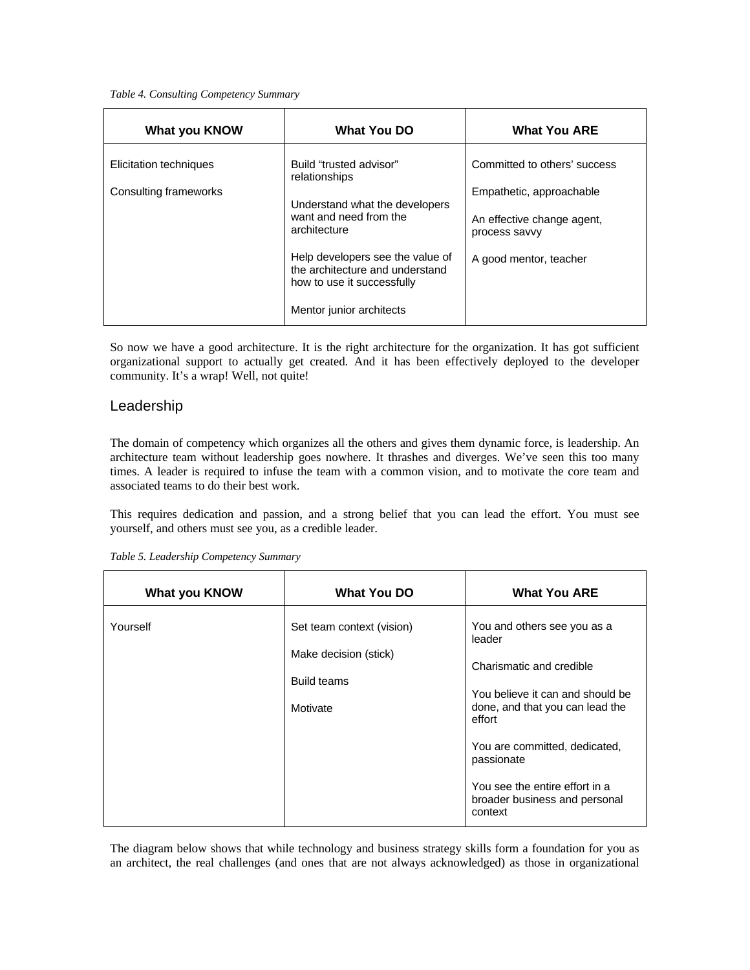#### *Table 4. Consulting Competency Summary*

| What you KNOW                                                            | <b>What You DO</b>                                                                                | <b>What You ARE</b>          |
|--------------------------------------------------------------------------|---------------------------------------------------------------------------------------------------|------------------------------|
| Elicitation techniques                                                   | Build "trusted advisor"<br>relationships                                                          | Committed to others' success |
| Consulting frameworks                                                    |                                                                                                   | Empathetic, approachable     |
| Understand what the developers<br>want and need from the<br>architecture | An effective change agent,<br>process savvy                                                       |                              |
|                                                                          | Help developers see the value of<br>the architecture and understand<br>how to use it successfully | A good mentor, teacher       |
|                                                                          | Mentor junior architects                                                                          |                              |

So now we have a good architecture. It is the right architecture for the organization. It has got sufficient organizational support to actually get created. And it has been effectively deployed to the developer community. It's a wrap! Well, not quite!

#### Leadership

The domain of competency which organizes all the others and gives them dynamic force, is leadership. An architecture team without leadership goes nowhere. It thrashes and diverges. We've seen this too many times. A leader is required to infuse the team with a common vision, and to motivate the core team and associated teams to do their best work.

This requires dedication and passion, and a strong belief that you can lead the effort. You must see yourself, and others must see you, as a credible leader.

| <b>What you KNOW</b> | <b>What You DO</b>                                                                   | <b>What You ARE</b>                                                                                                                                                                                                                                                             |
|----------------------|--------------------------------------------------------------------------------------|---------------------------------------------------------------------------------------------------------------------------------------------------------------------------------------------------------------------------------------------------------------------------------|
| Yourself             | Set team context (vision)<br>Make decision (stick)<br><b>Build teams</b><br>Motivate | You and others see you as a<br>leader<br>Charismatic and credible<br>You believe it can and should be<br>done, and that you can lead the<br>effort<br>You are committed, dedicated,<br>passionate<br>You see the entire effort in a<br>broader business and personal<br>context |

*Table 5. Leadership Competency Summary*

The diagram below shows that while technology and business strategy skills form a foundation for you as an architect, the real challenges (and ones that are not always acknowledged) as those in organizational